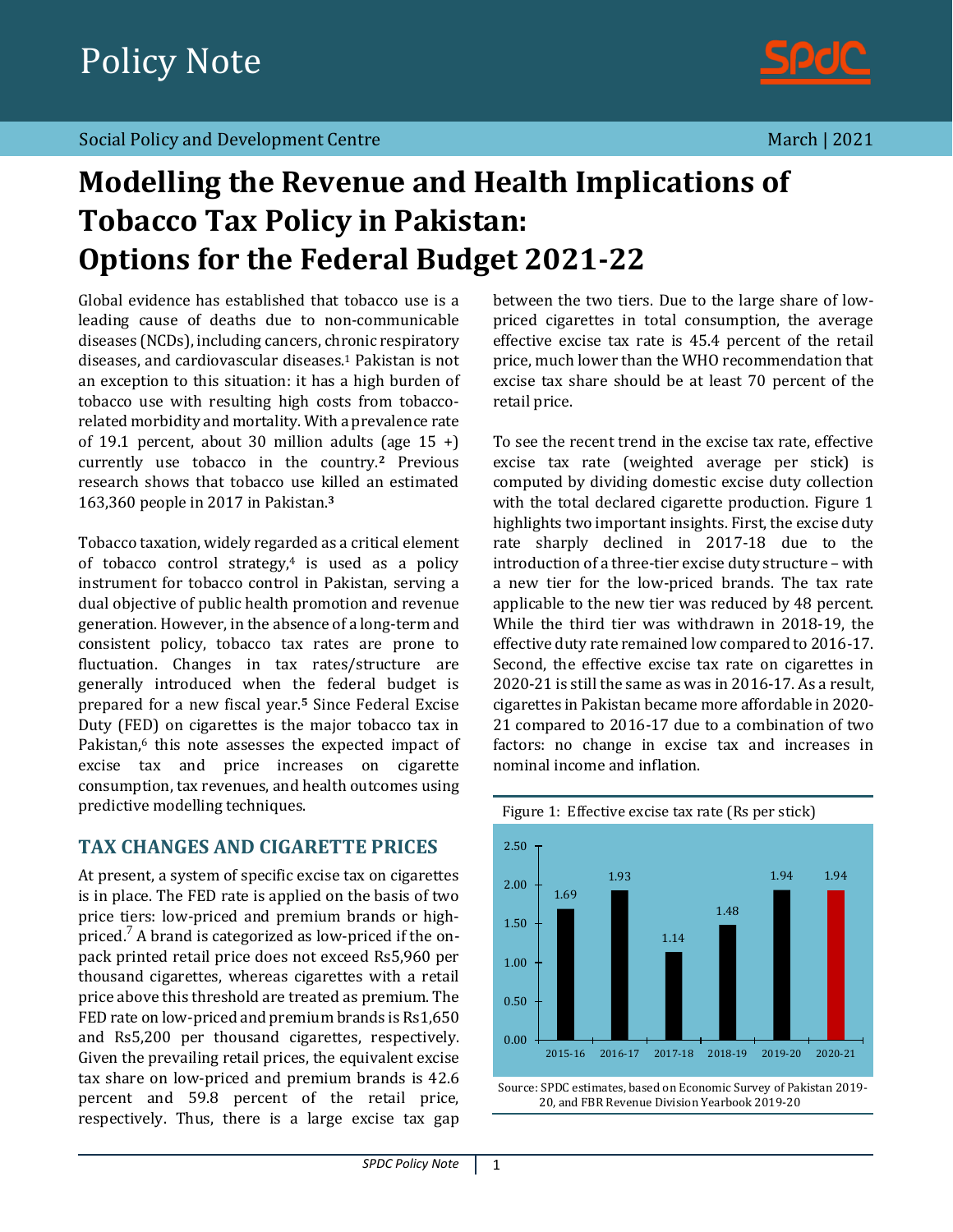

# **Modelling the Revenue and Health Implications of Tobacco Tax Policy in Pakistan: Options for the Federal Budget 2021-22**

Global evidence has established that tobacco use is a leading cause of deaths due to non-communicable diseases (NCDs), including cancers, chronic respiratory diseases, and cardiovascular diseases.<sup>1</sup> Pakistan is not an exception to this situation: it has a high burden of tobacco use with resulting high costs from tobaccorelated morbidity and mortality. With a prevalence rate of 19.1 percent, about 30 million adults (age  $15 +$ ) currently use tobacco in the country.**<sup>2</sup>** Previous research shows that tobacco use killed an estimated 163,360 people in 2017 in Pakistan. **3**

Tobacco taxation, widely regarded as a critical element of tobacco control strategy, $4$  is used as a policy instrument for tobacco control in Pakistan, serving a dual objective of public health promotion and revenue generation. However, in the absence of a long-term and consistent policy, tobacco tax rates are prone to fluctuation. Changes in tax rates/structure are generally introduced when the federal budget is prepared for a new fiscal year.**<sup>5</sup>** Since Federal Excise Duty (FED) on cigarettes is the major tobacco tax in Pakistan,<sup>6</sup> this note assesses the expected impact of excise tax and price increases on cigarette consumption, tax revenues, and health outcomes using predictive modelling techniques.

# **TAX CHANGES AND CIGARETTE PRICES**

At present, a system of specific excise tax on cigarettes is in place. The FED rate is applied on the basis of two price tiers: low-priced and premium brands or highpriced.<sup>7</sup> A brand is categorized as low-priced if the onpack printed retail price does not exceed Rs5,960 per thousand cigarettes, whereas cigarettes with a retail price above this threshold are treated as premium. The FED rate on low-priced and premium brands is Rs1,650 and Rs5,200 per thousand cigarettes, respectively. Given the prevailing retail prices, the equivalent excise tax share on low-priced and premium brands is 42.6 percent and 59.8 percent of the retail price, respectively. Thus, there is a large excise tax gap

between the two tiers. Due to the large share of lowpriced cigarettes in total consumption, the average effective excise tax rate is 45.4 percent of the retail price, much lower than the WHO recommendation that excise tax share should be at least 70 percent of the retail price.

To see the recent trend in the excise tax rate, effective excise tax rate (weighted average per stick) is computed by dividing domestic excise duty collection with the total declared cigarette production. Figure 1 highlights two important insights. First, the excise duty rate sharply declined in 2017-18 due to the introduction of a three-tier excise duty structure – with a new tier for the low-priced brands. The tax rate applicable to the new tier was reduced by 48 percent. While the third tier was withdrawn in 2018-19, the effective duty rate remained low compared to 2016-17. Second, the effective excise tax rate on cigarettes in 2020-21 is still the same as was in 2016-17. As a result, cigarettes in Pakistan became more affordable in 2020- 21 compared to 2016-17 due to a combination of two factors: no change in excise tax and increases in nominal income and inflation.



Source: SPDC estimates, based on Economic Survey of Pakistan 2019- 20, and FBR Revenue Division Yearbook 2019-20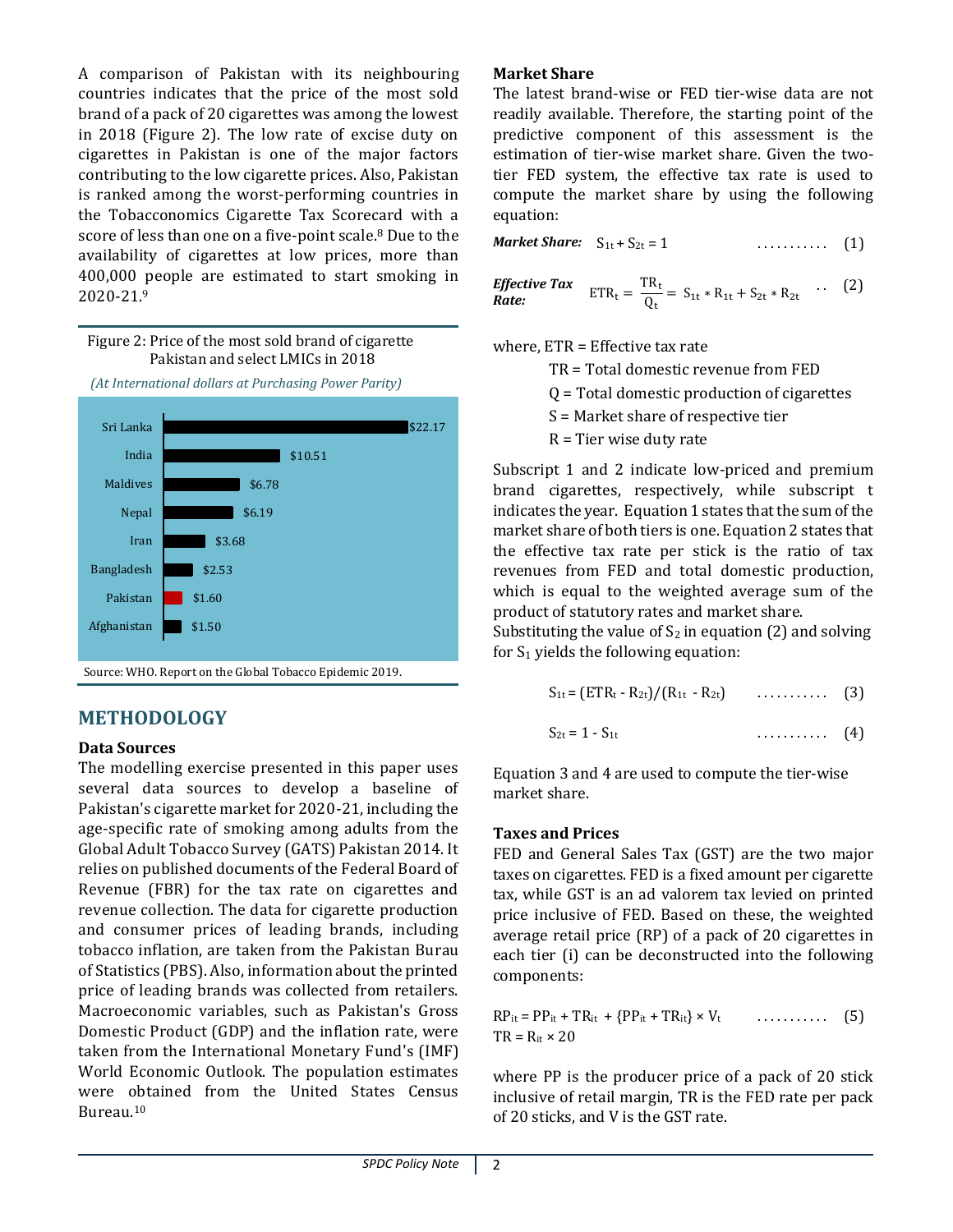A comparison of Pakistan with its neighbouring countries indicates that the price of the most sold brand of a pack of 20 cigarettes was among the lowest in 2018 (Figure 2). The low rate of excise duty on cigarettes in Pakistan is one of the major factors contributing to the low cigarette prices. Also, Pakistan is ranked among the worst-performing countries in the Tobacconomics Cigarette Tax Scorecard with a score of less than one on a five-point scale.<sup>8</sup> Due to the availability of cigarettes at low prices, more than 400,000 people are estimated to start smoking in 2020-21.<sup>9</sup>



# **METHODOLOGY**

# **Data Sources**

The modelling exercise presented in this paper uses several data sources to develop a baseline of Pakistan's cigarette market for 2020-21, including the age-specific rate of smoking among adults from the Global Adult Tobacco Survey (GATS) Pakistan 2014. It relies on published documents of the Federal Board of Revenue (FBR) for the tax rate on cigarettes and revenue collection. The data for cigarette production and consumer prices of leading brands, including tobacco inflation, are taken from the Pakistan Burau of Statistics (PBS). Also, information about the printed price of leading brands was collected from retailers. Macroeconomic variables, such as Pakistan's Gross Domestic Product (GDP) and the inflation rate, were taken from the International Monetary Fund's (IMF) World Economic Outlook. The population estimates were obtained from the United States Census Bureau.<sup>10</sup>

# **Market Share**

The latest brand-wise or FED tier-wise data are not readily available. Therefore, the starting point of the predictive component of this assessment is the estimation of tier-wise market share. Given the twotier FED system, the effective tax rate is used to compute the market share by using the following equation:

*Market Share:*  $S_{1t} + S_{2t} = 1$  ........... (1)

*Effective Tax*  $\begin{array}{rcl} \text{ETR}_{\rm t} = \frac{\text{TR}_{\rm t}}{\text{O}_{\rm t}} \end{array}$  $\frac{dS_{1t}}{Q_t} = S_{1t} * R_{1t} + S_{2t} * R_{2t}$  $(2)$ 

where, ETR = Effective tax rate

TR = Total domestic revenue from FED

Q = Total domestic production of cigarettes

S = Market share of respective tier

 $R =$  Tier wise duty rate

Subscript 1 and 2 indicate low-priced and premium brand cigarettes, respectively, while subscript t indicates the year. Equation 1 states that the sum of the market share of both tiers is one. Equation 2 states that the effective tax rate per stick is the ratio of tax revenues from FED and total domestic production, which is equal to the weighted average sum of the product of statutory rates and market share.

Substituting the value of  $S_2$  in equation (2) and solving for  $S_1$  yields the following equation:

$$
S_{1t} = (ETR_t - R_{2t})/(R_{1t} - R_{2t})
$$
 (3)

$$
S_{2t}=1-S_{1t} \qquad \qquad \ldots \qquad (4)
$$

Equation 3 and 4 are used to compute the tier-wise market share.

#### **Taxes and Prices**

FED and General Sales Tax (GST) are the two major taxes on cigarettes. FED is a fixed amount per cigarette tax, while GST is an ad valorem tax levied on printed price inclusive of FED. Based on these, the weighted average retail price (RP) of a pack of 20 cigarettes in each tier (i) can be deconstructed into the following components:

$$
RP_{it} = PP_{it} + TR_{it} + \{PP_{it} + TR_{it}\} \times V_t \qquad \qquad \ldots \ldots \ldots \qquad (5)
$$
  
TR = R<sub>it</sub> × 20

where PP is the producer price of a pack of 20 stick inclusive of retail margin, TR is the FED rate per pack of 20 sticks, and V is the GST rate.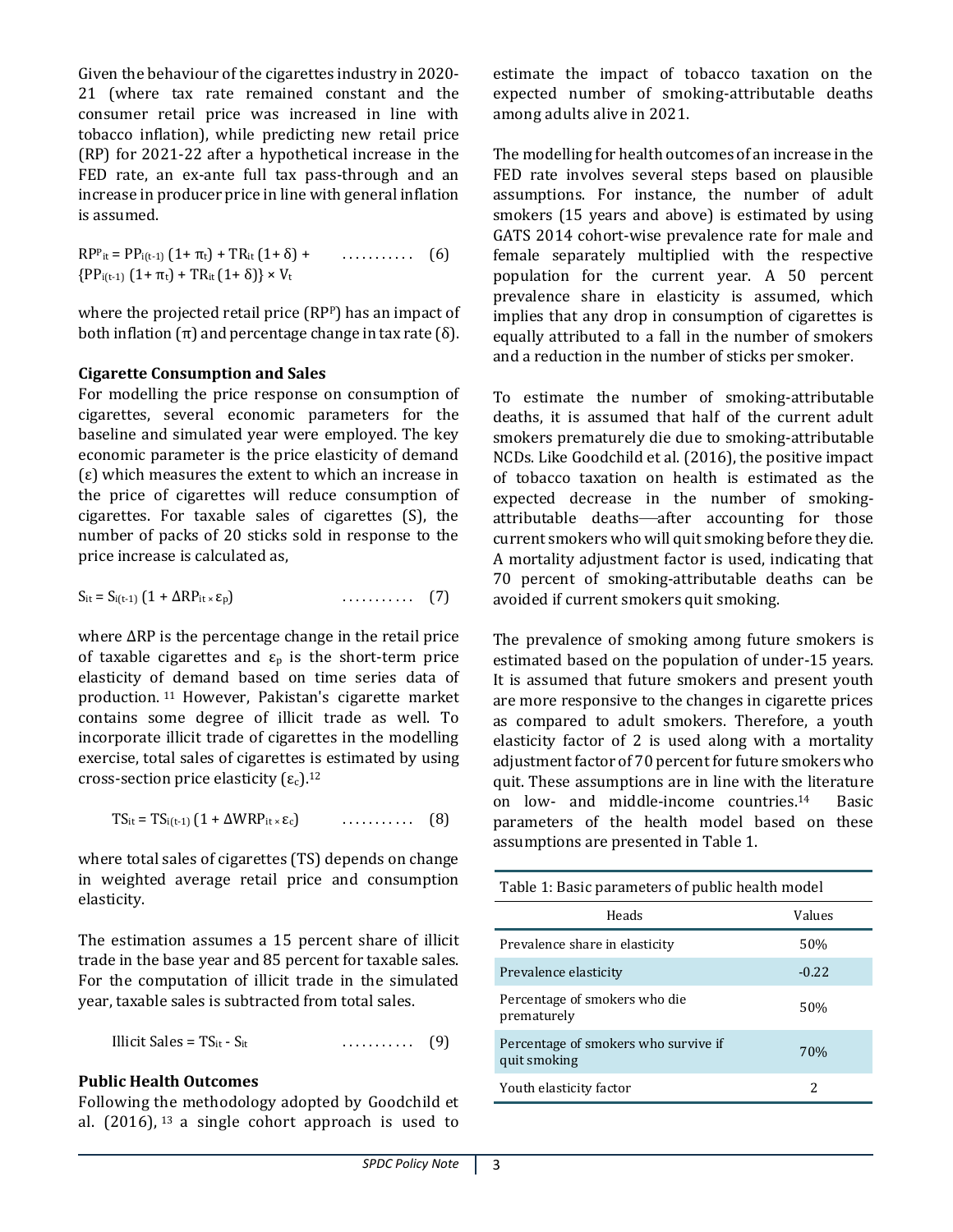Given the behaviour of the cigarettes industry in 2020- 21 (where tax rate remained constant and the consumer retail price was increased in line with tobacco inflation), while predicting new retail price (RP) for 2021-22 after a hypothetical increase in the FED rate, an ex-ante full tax pass-through and an increase in producer price in line with general inflation is assumed.

 $RP<sup>p</sup>$ it =  $PP<sub>i(t-1)</sub> (1 + \pi<sub>t</sub>) + TR<sub>it</sub> (1 + \delta) +$  ${PP_{i(t-1)} (1+\pi_t) + TR_{it} (1+\delta)} \times V_t$ . . . . . . . . . . . (6)

where the projected retail price (RPP) has an impact of both inflation  $(π)$  and percentage change in tax rate  $(δ)$ .

#### **Cigarette Consumption and Sales**

For modelling the price response on consumption of cigarettes, several economic parameters for the baseline and simulated year were employed. The key economic parameter is the price elasticity of demand (ε) which measures the extent to which an increase in the price of cigarettes will reduce consumption of cigarettes. For taxable sales of cigarettes (S), the number of packs of 20 sticks sold in response to the price increase is calculated as,

$$
S_{it} = S_{i(t-1)} (1 + \Delta RP_{it} \times \epsilon_p) \tag{7}
$$

where ΔRP is the percentage change in the retail price of taxable cigarettes and  $\varepsilon_p$  is the short-term price elasticity of demand based on time series data of production. <sup>11</sup> However, Pakistan's cigarette market contains some degree of illicit trade as well. To incorporate illicit trade of cigarettes in the modelling exercise, total sales of cigarettes is estimated by using cross-section price elasticity  $(\varepsilon_c)$ .<sup>12</sup>

$$
TS_{it} = TS_{i(t-1)} (1 + \Delta WRP_{it} \times \varepsilon_c) \qquad \qquad (8)
$$

where total sales of cigarettes (TS) depends on change in weighted average retail price and consumption elasticity.

The estimation assumes a 15 percent share of illicit trade in the base year and 85 percent for taxable sales. For the computation of illicit trade in the simulated year, taxable sales is subtracted from total sales.

Illicit Sales = TSit - Sit . . . . . . . . . . . (9)

#### **Public Health Outcomes**

Following the methodology adopted by Goodchild et al.  $(2016)$ ,  $^{13}$  a single cohort approach is used to estimate the impact of tobacco taxation on the expected number of smoking-attributable deaths among adults alive in 2021.

The modelling for health outcomes of an increase in the FED rate involves several steps based on plausible assumptions. For instance, the number of adult smokers (15 years and above) is estimated by using GATS 2014 cohort-wise prevalence rate for male and female separately multiplied with the respective population for the current year. A 50 percent prevalence share in elasticity is assumed, which implies that any drop in consumption of cigarettes is equally attributed to a fall in the number of smokers and a reduction in the number of sticks per smoker.

To estimate the number of smoking-attributable deaths, it is assumed that half of the current adult smokers prematurely die due to smoking-attributable NCDs. Like Goodchild et al. (2016), the positive impact of tobacco taxation on health is estimated as the expected decrease in the number of smokingattributable deaths—after accounting for those current smokers who will quit smoking before they die. A mortality adjustment factor is used, indicating that 70 percent of smoking-attributable deaths can be avoided if current smokers quit smoking.

The prevalence of smoking among future smokers is estimated based on the population of under-15 years. It is assumed that future smokers and present youth are more responsive to the changes in cigarette prices as compared to adult smokers. Therefore, a youth elasticity factor of 2 is used along with a mortality adjustment factor of 70 percent for future smokers who quit. These assumptions are in line with the literature on low- and middle-income countries.<sup>14</sup> Basic parameters of the health model based on these assumptions are presented in Table 1.

| Table 1: Basic parameters of public health model     |         |  |  |
|------------------------------------------------------|---------|--|--|
| Heads                                                | Values  |  |  |
| Prevalence share in elasticity                       | 50%     |  |  |
| Prevalence elasticity                                | $-0.22$ |  |  |
| Percentage of smokers who die<br>prematurely         | 50%     |  |  |
| Percentage of smokers who survive if<br>quit smoking | 70%     |  |  |
| Youth elasticity factor                              | 2.      |  |  |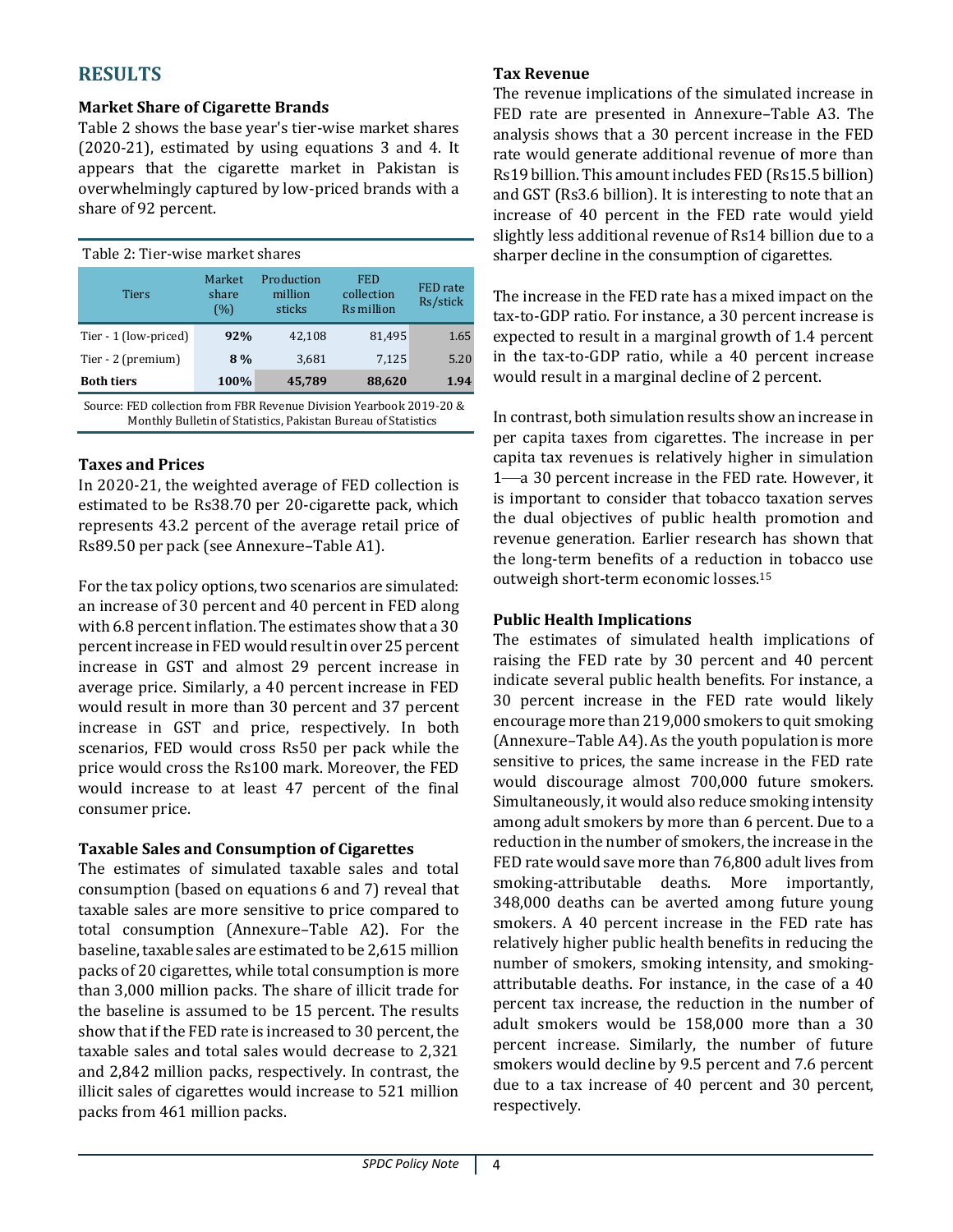# **RESULTS**

## **Market Share of Cigarette Brands**

Table 2 shows the base year's tier-wise market shares (2020-21), estimated by using equations 3 and 4. It appears that the cigarette market in Pakistan is overwhelmingly captured by low-priced brands with a share of 92 percent.

| Table 2: Tier-wise market shares |                        |                                 |                                        |                      |
|----------------------------------|------------------------|---------------------------------|----------------------------------------|----------------------|
| <b>Tiers</b>                     | Market<br>share<br>(%) | Production<br>million<br>sticks | <b>FED</b><br>collection<br>Rs million | FED rate<br>Rs/stick |
| Tier - 1 (low-priced)            | 92%                    | 42.108                          | 81.495                                 | 1.65                 |
| Tier - 2 (premium)               | 8%                     | 3,681                           | 7,125                                  | 5.20                 |
| <b>Both tiers</b>                | 100%                   | 45,789                          | 88,620                                 | 1.94                 |
| . .                              |                        |                                 |                                        |                      |

Source: FED collection from FBR Revenue Division Yearbook 2019-20 & Monthly Bulletin of Statistics, Pakistan Bureau of Statistics

#### **Taxes and Prices**

In 2020-21, the weighted average of FED collection is estimated to be Rs38.70 per 20-cigarette pack, which represents 43.2 percent of the average retail price of Rs89.50 per pack (see Annexure–Table A1).

For the tax policy options, two scenarios are simulated: an increase of 30 percent and 40 percent in FED along with 6.8 percent inflation. The estimates show that a 30 percentincrease in FED would result in over 25 percent increase in GST and almost 29 percent increase in average price. Similarly, a 40 percent increase in FED would result in more than 30 percent and 37 percent increase in GST and price, respectively. In both scenarios, FED would cross Rs50 per pack while the price would cross the Rs100 mark. Moreover, the FED would increase to at least 47 percent of the final consumer price.

# **Taxable Sales and Consumption of Cigarettes**

The estimates of simulated taxable sales and total consumption (based on equations 6 and 7) reveal that taxable sales are more sensitive to price compared to total consumption (Annexure–Table A2). For the baseline, taxable sales are estimated to be 2,615 million packs of 20 cigarettes, while total consumption is more than 3,000 million packs. The share of illicit trade for the baseline is assumed to be 15 percent. The results show that if the FED rate is increased to 30 percent, the taxable sales and total sales would decrease to 2,321 and 2,842 million packs, respectively. In contrast, the illicit sales of cigarettes would increase to 521 million packs from 461 million packs.

### **Tax Revenue**

The revenue implications of the simulated increase in FED rate are presented in Annexure–Table A3. The analysis shows that a 30 percent increase in the FED rate would generate additional revenue of more than Rs19 billion. This amount includes FED (Rs15.5 billion) and GST (Rs3.6 billion). It is interesting to note that an increase of 40 percent in the FED rate would yield slightly less additional revenue of Rs14 billion due to a sharper decline in the consumption of cigarettes.

The increase in the FED rate has a mixed impact on the tax-to-GDP ratio. For instance, a 30 percent increase is expected to result in a marginal growth of 1.4 percent in the tax-to-GDP ratio, while a 40 percent increase would result in a marginal decline of 2 percent.

In contrast, both simulation results show an increase in per capita taxes from cigarettes. The increase in per capita tax revenues is relatively higher in simulation 1—a 30 percent increase in the FED rate. However, it is important to consider that tobacco taxation serves the dual objectives of public health promotion and revenue generation. Earlier research has shown that the long-term benefits of a reduction in tobacco use outweigh short-term economic losses.<sup>15</sup>

# **Public Health Implications**

The estimates of simulated health implications of raising the FED rate by 30 percent and 40 percent indicate several public health benefits. For instance, a 30 percent increase in the FED rate would likely encourage more than 219,000 smokers to quit smoking (Annexure–Table A4). As the youth population is more sensitive to prices, the same increase in the FED rate would discourage almost 700,000 future smokers. Simultaneously, it would also reduce smoking intensity among adult smokers by more than 6 percent. Due to a reduction in the number of smokers, the increase in the FED rate would save more than 76,800 adult lives from smoking-attributable deaths. More importantly, 348,000 deaths can be averted among future young smokers. A 40 percent increase in the FED rate has relatively higher public health benefits in reducing the number of smokers, smoking intensity, and smokingattributable deaths. For instance, in the case of a 40 percent tax increase, the reduction in the number of adult smokers would be 158,000 more than a 30 percent increase. Similarly, the number of future smokers would decline by 9.5 percent and 7.6 percent due to a tax increase of 40 percent and 30 percent, respectively.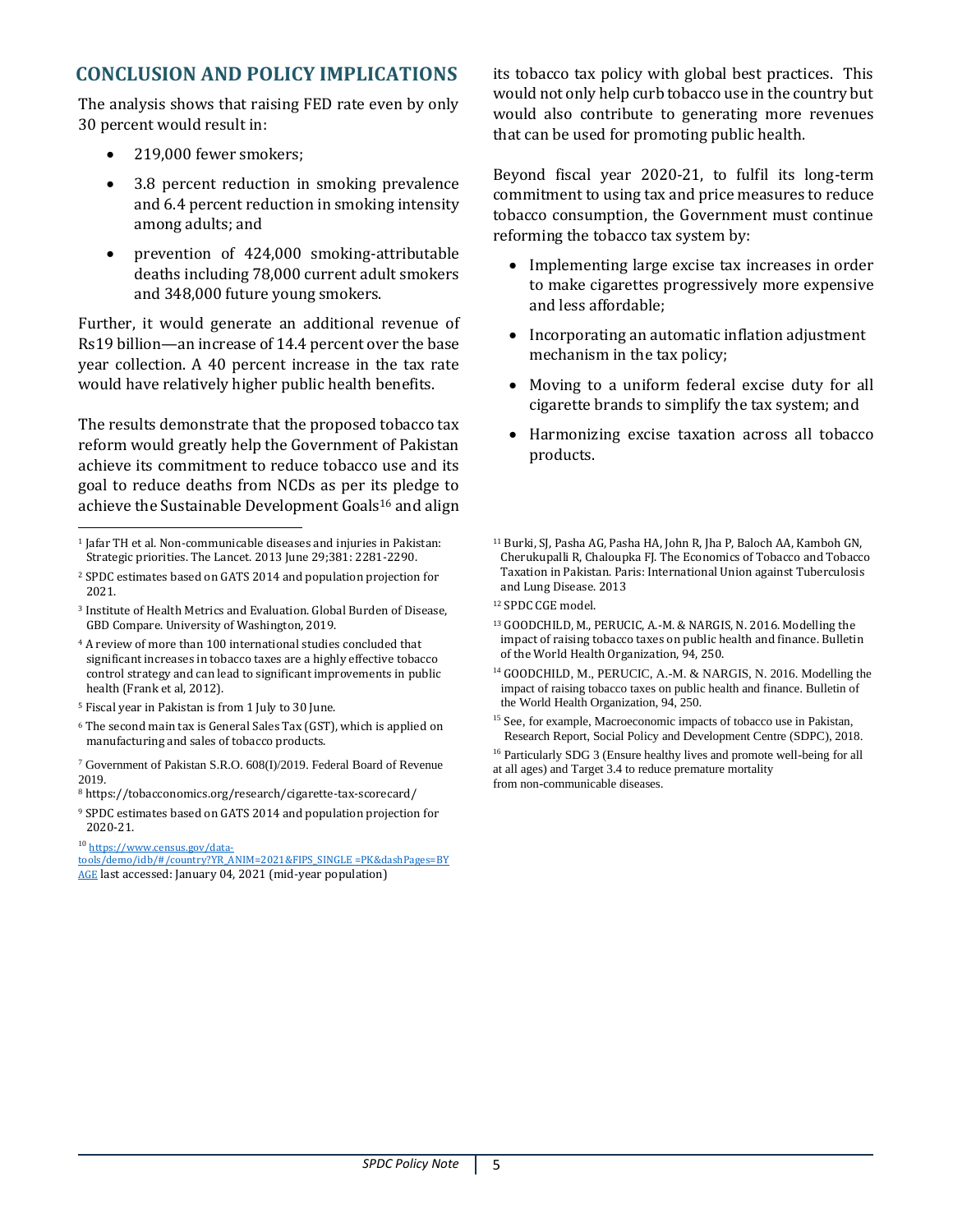# **CONCLUSION AND POLICY IMPLICATIONS**

The analysis shows that raising FED rate even by only 30 percent would result in:

- 219,000 fewer smokers;
- 3.8 percent reduction in smoking prevalence and 6.4 percent reduction in smoking intensity among adults; and
- prevention of 424,000 smoking-attributable deaths including 78,000 current adult smokers and 348,000 future young smokers.

Further, it would generate an additional revenue of Rs19 billion—an increase of 14.4 percent over the base year collection. A 40 percent increase in the tax rate would have relatively higher public health benefits.

The results demonstrate that the proposed tobacco tax reform would greatly help the Government of Pakistan achieve its commitment to reduce tobacco use and its goal to reduce deaths from NCDs as per its pledge to achieve the Sustainable Development Goals<sup>16</sup> and align

- <sup>2</sup> SPDC estimates based on GATS 2014 and population projection for 2021.
- <sup>3</sup> Institute of Health Metrics and Evaluation. Global Burden of Disease, GBD Compare. University of Washington, 2019.
- <sup>4</sup> A review of more than 100 international studies concluded that significant increases in tobacco taxes are a highly effective tobacco control strategy and can lead to significant improvements in public health (Frank et al, 2012).
- <sup>5</sup> Fiscal year in Pakistan is from 1 July to 30 June.
- <sup>6</sup> The second main tax is General Sales Tax (GST), which is applied on manufacturing and sales of tobacco products.
- <sup>7</sup> Government of Pakistan S.R.O. 608(I)/2019. Federal Board of Revenue 2019.
- <sup>8</sup> <https://tobacconomics.org/research/cigarette-tax-scorecard/>
- <sup>9</sup> SPDC estimates based on GATS 2014 and population projection for 2020-21.

<sup>10</sup> [https://www.census.gov/data-](https://www.census.gov/data-tools/demo/idb/#/country?YR_ANIM=2021&FIPS_SINGLE =PK&dashPages=BY AGE)

[tools/demo/idb/#/country?YR\\_ANIM=2021&FIPS\\_SINGLE =PK&dashPages=BY](https://www.census.gov/data-tools/demo/idb/#/country?YR_ANIM=2021&FIPS_SINGLE =PK&dashPages=BY AGE)  [AGE](https://www.census.gov/data-tools/demo/idb/#/country?YR_ANIM=2021&FIPS_SINGLE =PK&dashPages=BY AGE) last accessed: January 04, 2021 (mid-year population)

its tobacco tax policy with global best practices. This would not only help curb tobacco use in the country but would also contribute to generating more revenues that can be used for promoting public health.

Beyond fiscal year 2020-21, to fulfil its long-term commitment to using tax and price measures to reduce tobacco consumption, the Government must continue reforming the tobacco tax system by:

- Implementing large excise tax increases in order to make cigarettes progressively more expensive and less affordable;
- Incorporating an automatic inflation adjustment mechanism in the tax policy;
- Moving to a uniform federal excise duty for all cigarette brands to simplify the tax system; and
- Harmonizing excise taxation across all tobacco products.

- <sup>12</sup> SPDC CGE model.
- <sup>13</sup> GOODCHILD, M., PERUCIC, A.-M. & NARGIS, N. 2016. Modelling the impact of raising tobacco taxes on public health and finance. Bulletin of the World Health Organization, 94, 250.
- <sup>14</sup> GOODCHILD, M., PERUCIC, A.-M. & NARGIS, N. 2016. Modelling the impact of raising tobacco taxes on public health and finance. Bulletin of the World Health Organization, 94, 250.
- <sup>15</sup> See, for example, Macroeconomic impacts of tobacco use in Pakistan, Research Report, Social Policy and Development Centre (SDPC), 2018.

<sup>16</sup> Particularly SDG 3 (Ensure healthy lives and promote well-being for all at all ages) and Target 3.4 to reduce premature mortality from non-communicable diseases.

<sup>&</sup>lt;sup>1</sup> Jafar TH et al. Non-communicable diseases and injuries in Pakistan: Strategic priorities. The Lancet. 2013 June 29;381: 2281-2290.

<sup>11</sup> Burki, SJ, Pasha AG, Pasha HA, John R, Jha P, Baloch AA, Kamboh GN, Cherukupalli R, Chaloupka FJ. The Economics of Tobacco and Tobacco Taxation in Pakistan. Paris: International Union against Tuberculosis and Lung Disease. 2013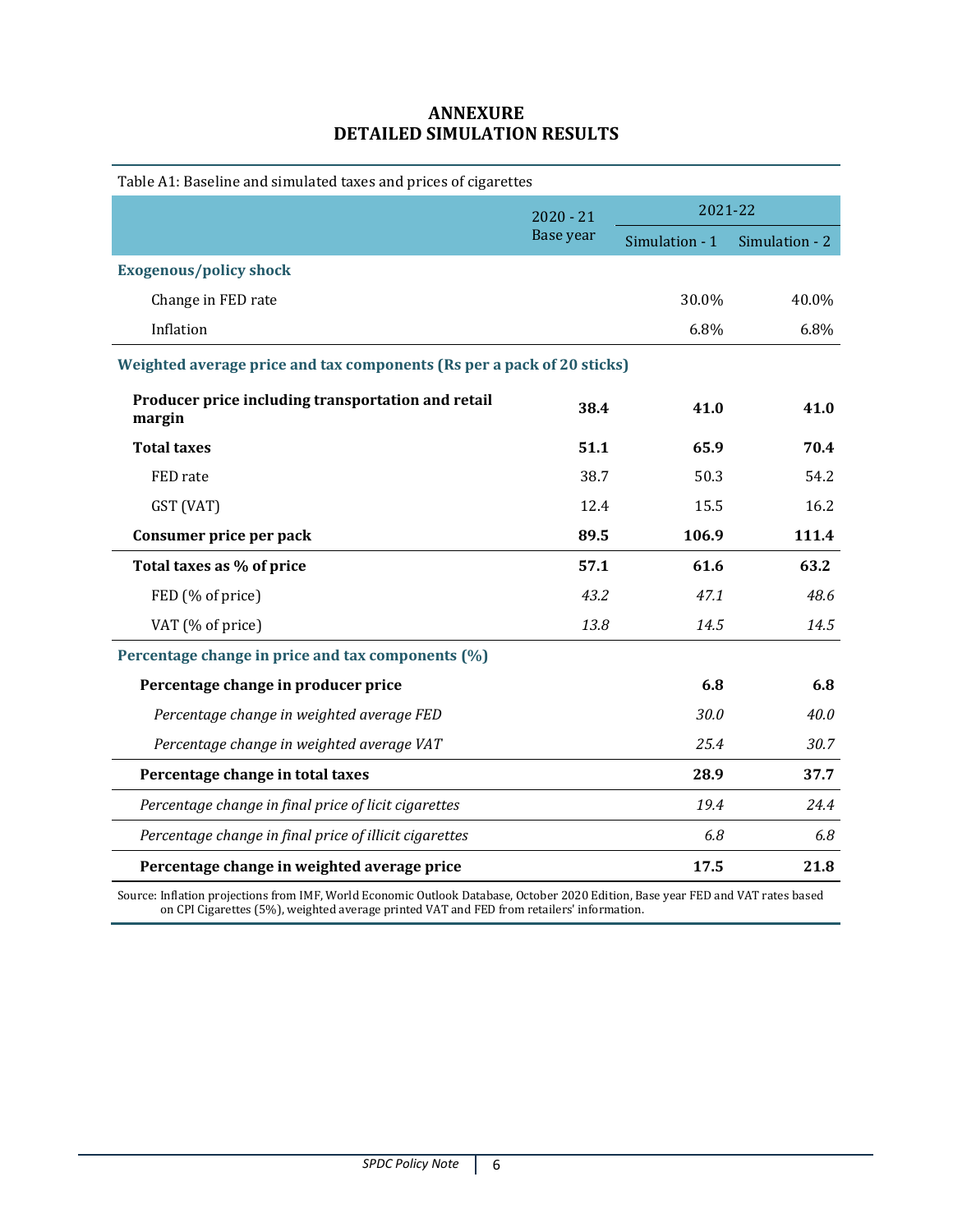# **ANNEXURE DETAILED SIMULATION RESULTS**

| Table A1: Baseline and simulated taxes and prices of cigarettes        |                          |                |                |
|------------------------------------------------------------------------|--------------------------|----------------|----------------|
|                                                                        | $2020 - 21$<br>Base year | 2021-22        |                |
|                                                                        |                          | Simulation - 1 | Simulation - 2 |
| <b>Exogenous/policy shock</b>                                          |                          |                |                |
| Change in FED rate                                                     |                          | 30.0%          | 40.0%          |
| Inflation                                                              |                          | 6.8%           | 6.8%           |
| Weighted average price and tax components (Rs per a pack of 20 sticks) |                          |                |                |
| Producer price including transportation and retail<br>margin           | 38.4                     | 41.0           | 41.0           |
| <b>Total taxes</b>                                                     | 51.1                     | 65.9           | 70.4           |
| FED rate                                                               | 38.7                     | 50.3           | 54.2           |
| GST (VAT)                                                              | 12.4                     | 15.5           | 16.2           |
| Consumer price per pack                                                | 89.5                     | 106.9          | 111.4          |
| Total taxes as % of price                                              | 57.1                     | 61.6           | 63.2           |
| FED (% of price)                                                       | 43.2                     | 47.1           | 48.6           |
| VAT (% of price)                                                       | 13.8                     | 14.5           | 14.5           |
| Percentage change in price and tax components (%)                      |                          |                |                |
| Percentage change in producer price                                    |                          | 6.8            | 6.8            |
| Percentage change in weighted average FED                              |                          | 30.0           | 40.0           |
| Percentage change in weighted average VAT                              |                          | 25.4           | 30.7           |
| Percentage change in total taxes                                       |                          | 28.9           | 37.7           |
| Percentage change in final price of licit cigarettes                   |                          | 19.4           | 24.4           |
| Percentage change in final price of illicit cigarettes                 |                          | 6.8            | 6.8            |
| Percentage change in weighted average price                            |                          | 17.5           | 21.8           |

Source: Inflation projections from IMF, World Economic Outlook Database, October 2020 Edition, Base year FED and VAT rates based on CPI Cigarettes (5%), weighted average printed VAT and FED from retailers' information.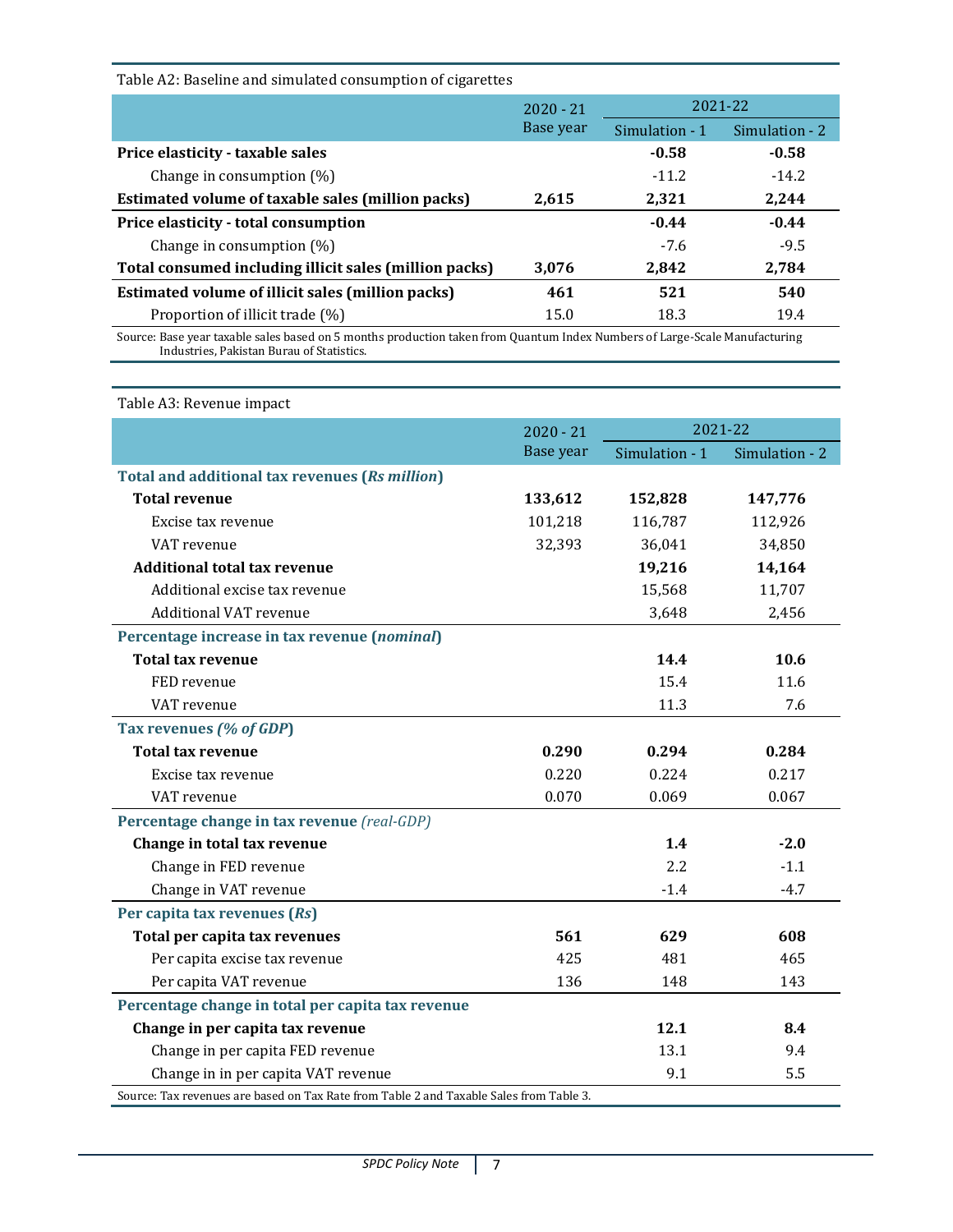| Table A2: Baseline and simulated consumption of cigarettes |             |                |                |
|------------------------------------------------------------|-------------|----------------|----------------|
|                                                            | $2020 - 21$ | 2021-22        |                |
|                                                            | Base year   | Simulation - 1 | Simulation - 2 |
| Price elasticity - taxable sales                           |             | $-0.58$        | $-0.58$        |
| Change in consumption $(\%)$                               |             | $-11.2$        | $-14.2$        |
| Estimated volume of taxable sales (million packs)          | 2,615       | 2,321          | 2,244          |
| Price elasticity - total consumption                       |             | $-0.44$        | $-0.44$        |
| Change in consumption $(\%)$                               |             | $-7.6$         | $-9.5$         |
| Total consumed including illicit sales (million packs)     | 3,076       | 2,842          | 2,784          |
| Estimated volume of illicit sales (million packs)          | 461         | 521            | 540            |
| Proportion of illicit trade (%)                            | 15.0        | 18.3           | 19.4           |
|                                                            |             |                |                |

Source: Base year taxable sales based on 5 months production taken from Quantum Index Numbers of Large-Scale Manufacturing Industries, Pakistan Burau of Statistics.

| Table A3: Revenue impact                                                                |             |                |                |
|-----------------------------------------------------------------------------------------|-------------|----------------|----------------|
|                                                                                         | $2020 - 21$ |                | 2021-22        |
|                                                                                         | Base year   | Simulation - 1 | Simulation - 2 |
| <b>Total and additional tax revenues (Rs million)</b>                                   |             |                |                |
| <b>Total revenue</b>                                                                    | 133,612     | 152,828        | 147,776        |
| Excise tax revenue                                                                      | 101,218     | 116,787        | 112,926        |
| VAT revenue                                                                             | 32,393      | 36,041         | 34,850         |
| <b>Additional total tax revenue</b>                                                     |             | 19,216         | 14,164         |
| Additional excise tax revenue                                                           |             | 15,568         | 11,707         |
| <b>Additional VAT revenue</b>                                                           |             | 3,648          | 2,456          |
| Percentage increase in tax revenue (nominal)                                            |             |                |                |
| <b>Total tax revenue</b>                                                                |             | 14.4           | 10.6           |
| FED revenue                                                                             |             | 15.4           | 11.6           |
| VAT revenue                                                                             |             | 11.3           | 7.6            |
| Tax revenues (% of GDP)                                                                 |             |                |                |
| <b>Total tax revenue</b>                                                                | 0.290       | 0.294          | 0.284          |
| Excise tax revenue                                                                      | 0.220       | 0.224          | 0.217          |
| VAT revenue                                                                             | 0.070       | 0.069          | 0.067          |
| Percentage change in tax revenue (real-GDP)                                             |             |                |                |
| Change in total tax revenue                                                             |             | 1.4            | $-2.0$         |
| Change in FED revenue                                                                   |             | 2.2            | $-1.1$         |
| Change in VAT revenue                                                                   |             | $-1.4$         | $-4.7$         |
| Per capita tax revenues (Rs)                                                            |             |                |                |
| Total per capita tax revenues                                                           | 561         | 629            | 608            |
| Per capita excise tax revenue                                                           | 425         | 481            | 465            |
| Per capita VAT revenue                                                                  | 136         | 148            | 143            |
| Percentage change in total per capita tax revenue                                       |             |                |                |
| Change in per capita tax revenue                                                        |             | 12.1           | 8.4            |
| Change in per capita FED revenue                                                        |             | 13.1           | 9.4            |
| Change in in per capita VAT revenue                                                     |             | 9.1            | 5.5            |
| Source: Tax revenues are based on Tax Rate from Table 2 and Taxable Sales from Table 3. |             |                |                |